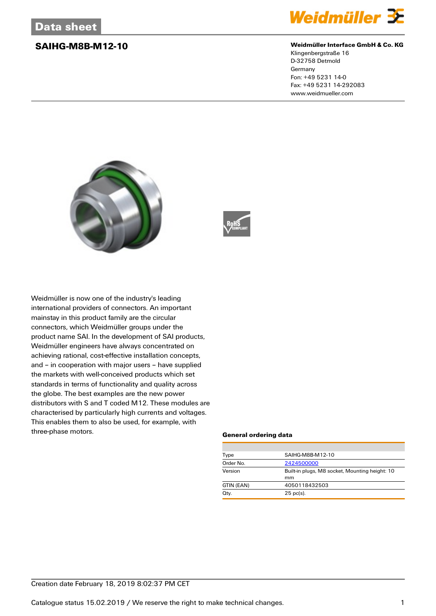

### **SAIHG-M8B-M12-10 Weidmüller Interface GmbH & Co. KG**

Klingenbergstraße 16 D-32758 Detmold Germany Fon: +49 5231 14-0 Fax: +49 5231 14-292083 www.weidmueller.com





Weidmüller is now one of the industry's leading international providers of connectors. An important mainstay in this product family are the circular connectors, which Weidmüller groups under the product name SAI. In the development of SAI products, Weidmüller engineers have always concentrated on achieving rational, cost-effective installation concepts, and – in cooperation with major users – have supplied the markets with well-conceived products which set standards in terms of functionality and quality across the globe. The best examples are the new power distributors with S and T coded M12. These modules are characterised by particularly high currents and voltages. This enables them to also be used, for example, with three-phase motors.

### **General ordering data**

| Type       | SAIHG-M8B-M12-10                               |  |  |
|------------|------------------------------------------------|--|--|
| Order No.  | 2424500000                                     |  |  |
| Version    | Built-in plugs, M8 socket, Mounting height: 10 |  |  |
|            | mm                                             |  |  |
| GTIN (EAN) | 4050118432503                                  |  |  |
| Qty.       | $25$ pc(s).                                    |  |  |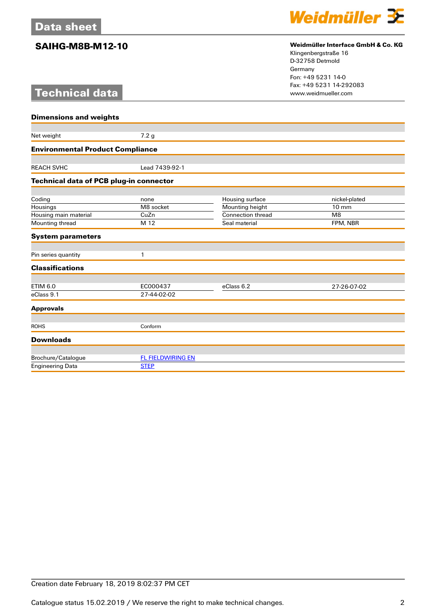# **Technical data**



## **SAIHG-M8B-M12-10 Weidmüller Interface GmbH & Co. KG**

Klingenbergstraße 16 D-32758 Detmold Germany Fon: +49 5231 14-0 Fax: +49 5231 14-292083

| <b>Dimensions and weights</b>                  |                                         |                          |                |  |  |
|------------------------------------------------|-----------------------------------------|--------------------------|----------------|--|--|
|                                                |                                         |                          |                |  |  |
| Net weight                                     | 7.2 <sub>g</sub>                        |                          |                |  |  |
| <b>Environmental Product Compliance</b>        |                                         |                          |                |  |  |
|                                                |                                         |                          |                |  |  |
| <b>REACH SVHC</b>                              | Lead 7439-92-1                          |                          |                |  |  |
| <b>Technical data of PCB plug-in connector</b> |                                         |                          |                |  |  |
|                                                |                                         |                          |                |  |  |
| Coding                                         | none                                    | Housing surface          | nickel-plated  |  |  |
| Housings                                       | M8 socket                               | Mounting height          | 10 mm          |  |  |
| Housing main material                          | CuZn                                    | <b>Connection thread</b> | M <sub>8</sub> |  |  |
| Mounting thread                                | M 12                                    | Seal material            | FPM, NBR       |  |  |
| <b>System parameters</b>                       |                                         |                          |                |  |  |
| Pin series quantity                            | 1                                       |                          |                |  |  |
| <b>Classifications</b>                         |                                         |                          |                |  |  |
|                                                |                                         |                          |                |  |  |
| <b>ETIM 6.0</b>                                | EC000437                                | eClass 6.2               | 27-26-07-02    |  |  |
| eClass 9.1                                     | 27-44-02-02                             |                          |                |  |  |
| <b>Approvals</b>                               |                                         |                          |                |  |  |
|                                                |                                         |                          |                |  |  |
| <b>ROHS</b>                                    | Conform                                 |                          |                |  |  |
| <b>Downloads</b>                               |                                         |                          |                |  |  |
|                                                |                                         |                          |                |  |  |
| Brochure/Catalogue                             | <b>FL FIELDWIRING EN</b><br><b>STEP</b> |                          |                |  |  |
| <b>Engineering Data</b>                        |                                         |                          |                |  |  |